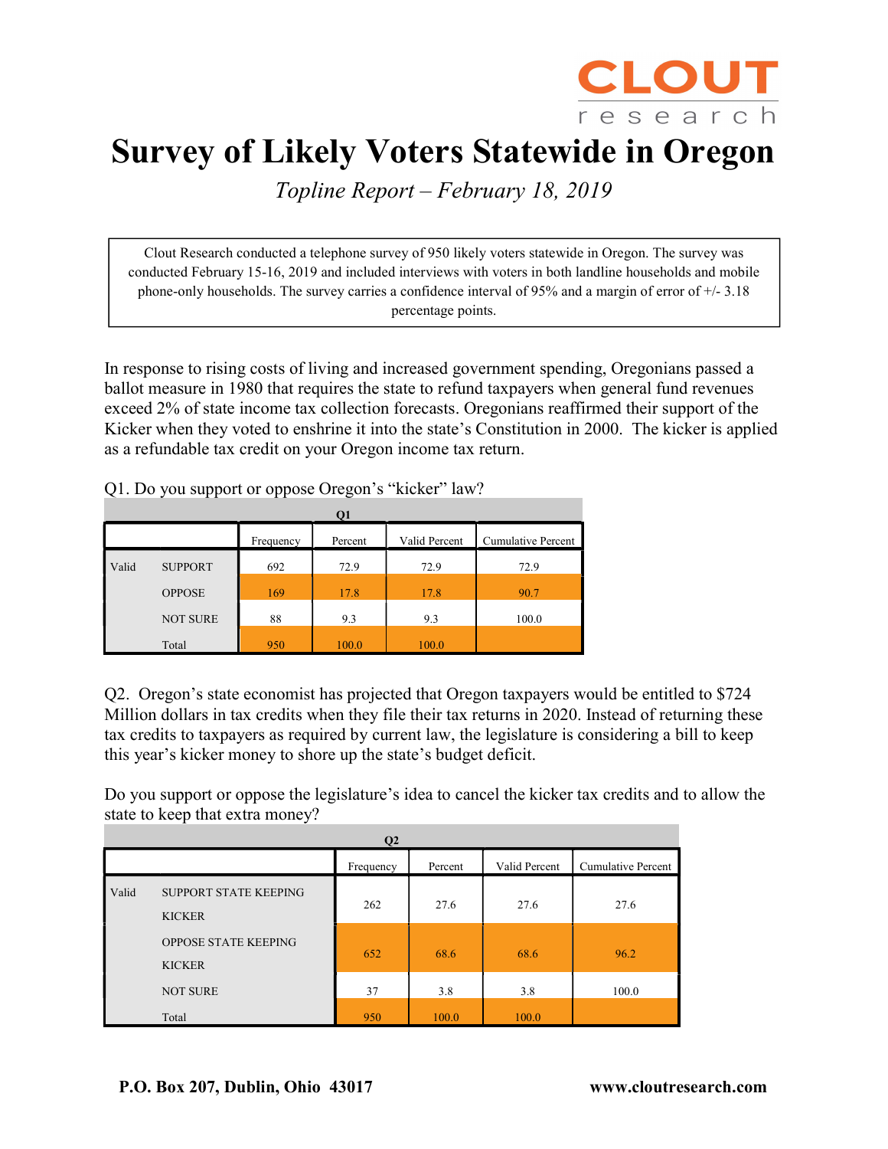

## Survey of Likely Voters Statewide in Oregon

Topline Report – February 18, 2019

Clout Research conducted a telephone survey of 950 likely voters statewide in Oregon. The survey was conducted February 15-16, 2019 and included interviews with voters in both landline households and mobile phone-only households. The survey carries a confidence interval of 95% and a margin of error of +/- 3.18 percentage points.

In response to rising costs of living and increased government spending, Oregonians passed a ballot measure in 1980 that requires the state to refund taxpayers when general fund revenues exceed 2% of state income tax collection forecasts. Oregonians reaffirmed their support of the Kicker when they voted to enshrine it into the state's Constitution in 2000. The kicker is applied as a refundable tax credit on your Oregon income tax return.

Q1. Do you support or oppose Oregon's "kicker" law?

| 01           |                 |           |         |               |                           |  |  |  |  |
|--------------|-----------------|-----------|---------|---------------|---------------------------|--|--|--|--|
|              |                 | Frequency | Percent | Valid Percent | <b>Cumulative Percent</b> |  |  |  |  |
| <b>Valid</b> | <b>SUPPORT</b>  | 692       | 72.9    | 72.9          | 72.9                      |  |  |  |  |
|              | <b>OPPOSE</b>   | 169       | 17.8    | 17.8          | 90.7                      |  |  |  |  |
|              | <b>NOT SURE</b> | 88        | 9.3     | 9.3           | 100.0                     |  |  |  |  |
|              |                 |           |         |               |                           |  |  |  |  |
|              | Total           | 950       | 100.0   | 100.0         |                           |  |  |  |  |

Q2. Oregon's state economist has projected that Oregon taxpayers would be entitled to \$724 Million dollars in tax credits when they file their tax returns in 2020. Instead of returning these tax credits to taxpayers as required by current law, the legislature is considering a bill to keep this year's kicker money to shore up the state's budget deficit.

Do you support or oppose the legislature's idea to cancel the kicker tax credits and to allow the state to keep that extra money?

|       | <b>O2</b>                                    |           |         |               |                    |  |  |  |  |  |
|-------|----------------------------------------------|-----------|---------|---------------|--------------------|--|--|--|--|--|
|       |                                              | Frequency | Percent | Valid Percent | Cumulative Percent |  |  |  |  |  |
| Valid | SUPPORT STATE KEEPING<br><b>KICKER</b>       | 262       | 27.6    | 27.6          | 27.6               |  |  |  |  |  |
|       | <b>OPPOSE STATE KEEPING</b><br><b>KICKER</b> | 652       | 68.6    | 68.6          | 96.2               |  |  |  |  |  |
|       | <b>NOT SURE</b>                              | 37        | 3.8     | 3.8           | 100.0              |  |  |  |  |  |
|       | Total                                        | 950       | 100.0   | 100.0         |                    |  |  |  |  |  |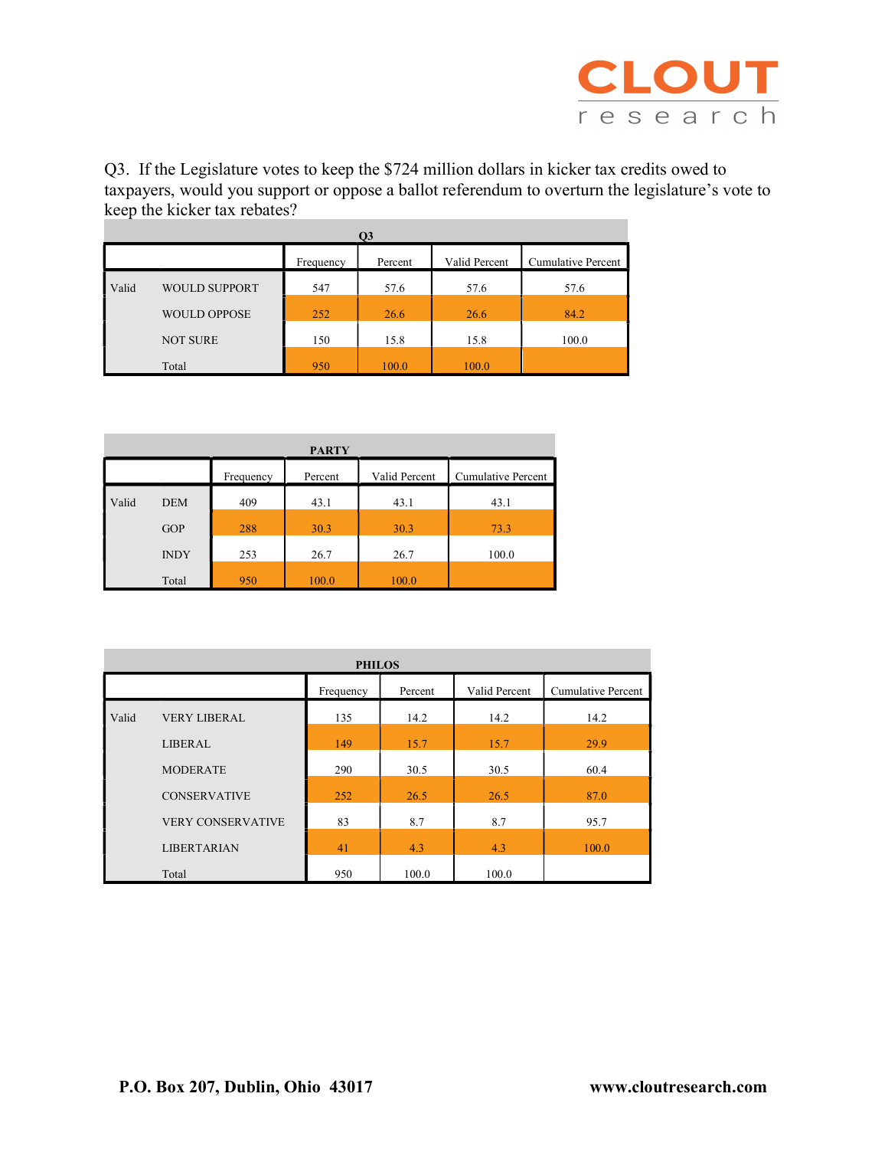

Q3. If the Legislature votes to keep the \$724 million dollars in kicker tax credits owed to taxpayers, would you support or oppose a ballot referendum to overturn the legislature's vote to keep the kicker tax rebates?

| Ο3    |                      |           |         |               |                           |  |  |  |
|-------|----------------------|-----------|---------|---------------|---------------------------|--|--|--|
|       |                      | Frequency | Percent | Valid Percent | <b>Cumulative Percent</b> |  |  |  |
| Valid | <b>WOULD SUPPORT</b> | 547       | 57.6    | 57.6          | 57.6                      |  |  |  |
|       | <b>WOULD OPPOSE</b>  | 252       | 26.6    | 26.6          | 84.2                      |  |  |  |
|       | <b>NOT SURE</b>      | 150       | 15.8    | 15.8          | 100.0                     |  |  |  |
|       | Total                | 950       | 100.0   | 100.0         |                           |  |  |  |

| <b>PARTY</b> |             |           |         |               |                           |  |  |  |  |
|--------------|-------------|-----------|---------|---------------|---------------------------|--|--|--|--|
|              |             | Frequency | Percent | Valid Percent | <b>Cumulative Percent</b> |  |  |  |  |
| Valid        | <b>DEM</b>  | 409       | 43.1    | 43.1          | 43.1                      |  |  |  |  |
|              | <b>GOP</b>  | 288       | 30.3    | 30.3          | 73.3                      |  |  |  |  |
|              | <b>INDY</b> | 253       | 26.7    | 26.7          | 100.0                     |  |  |  |  |
|              | Total       | 950       | 100.0   | 100.0         |                           |  |  |  |  |

|       | <b>PHILOS</b>                                                      |     |       |       |       |  |  |  |  |
|-------|--------------------------------------------------------------------|-----|-------|-------|-------|--|--|--|--|
|       | <b>Cumulative Percent</b><br>Valid Percent<br>Percent<br>Frequency |     |       |       |       |  |  |  |  |
| Valid | <b>VERY LIBERAL</b>                                                | 135 | 14.2  | 14.2  | 14.2  |  |  |  |  |
|       | <b>LIBERAL</b>                                                     | 149 | 15.7  | 15.7  | 29.9  |  |  |  |  |
|       | <b>MODERATE</b>                                                    | 290 | 30.5  | 30.5  | 60.4  |  |  |  |  |
|       | <b>CONSERVATIVE</b>                                                | 252 | 26.5  | 26.5  | 87.0  |  |  |  |  |
|       | <b>VERY CONSERVATIVE</b>                                           | 83  | 8.7   | 8.7   | 95.7  |  |  |  |  |
|       | <b>LIBERTARIAN</b>                                                 | 41  | 4.3   | 4.3   | 100.0 |  |  |  |  |
|       | Total                                                              | 950 | 100.0 | 100.0 |       |  |  |  |  |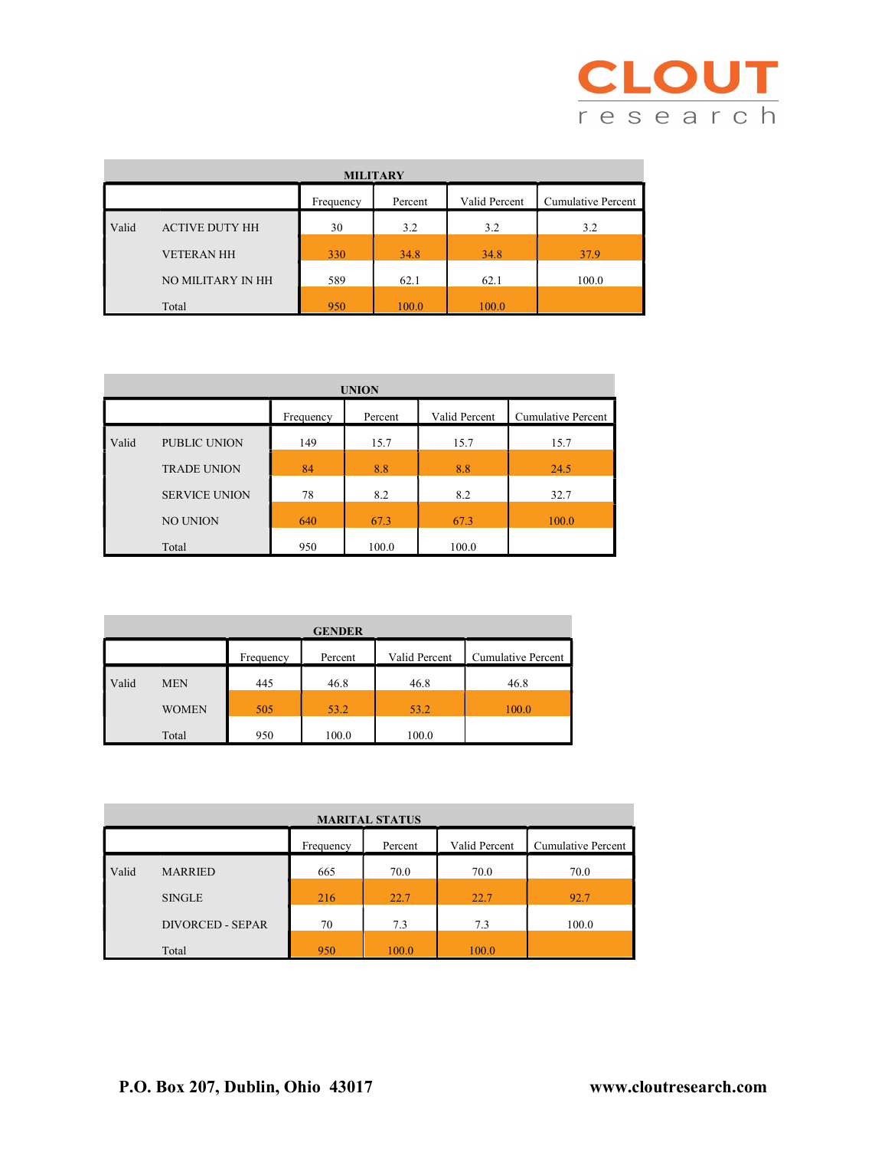

|       | <b>MILITARY</b>       |           |         |               |                           |  |  |  |  |
|-------|-----------------------|-----------|---------|---------------|---------------------------|--|--|--|--|
|       |                       | Frequency | Percent | Valid Percent | <b>Cumulative Percent</b> |  |  |  |  |
| Valid | <b>ACTIVE DUTY HH</b> | 30        | 3.2     | 3.2           | 3.2                       |  |  |  |  |
|       | <b>VETERAN HH</b>     | 330       | 34.8    | 34.8          | 37.9                      |  |  |  |  |
|       | NO MILITARY IN HH     | 589       | 62.1    | 62.1          | 100.0                     |  |  |  |  |
|       | Total                 | 950       | 100.0   | 100.0         |                           |  |  |  |  |

| <b>UNION</b> |                      |           |         |               |                    |  |  |  |
|--------------|----------------------|-----------|---------|---------------|--------------------|--|--|--|
|              |                      | Frequency | Percent | Valid Percent | Cumulative Percent |  |  |  |
| Valid        | PUBLIC UNION         | 149       | 15.7    | 15.7          | 15.7               |  |  |  |
|              | <b>TRADE UNION</b>   | 84        | 8.8     | 8.8           | 24.5               |  |  |  |
|              | <b>SERVICE UNION</b> | 78        | 8.2     | 8.2           | 32.7               |  |  |  |
|              | <b>NO UNION</b>      | 640       | 67.3    | 67.3          | 100.0              |  |  |  |
|              | Total                | 950       | 100.0   | 100.0         |                    |  |  |  |

|       | <b>GENDER</b> |           |         |               |                           |  |  |  |  |
|-------|---------------|-----------|---------|---------------|---------------------------|--|--|--|--|
|       |               | Frequency | Percent | Valid Percent | <b>Cumulative Percent</b> |  |  |  |  |
| Valid | <b>MEN</b>    | 445       | 46.8    | 46.8          | 46.8                      |  |  |  |  |
|       | <b>WOMEN</b>  | 505       | 53.2    | 53.2          | 100.0                     |  |  |  |  |
|       | Total         | 950       | 100.0   | 100.0         |                           |  |  |  |  |

| <b>MARITAL STATUS</b> |                  |           |         |               |                           |  |  |  |
|-----------------------|------------------|-----------|---------|---------------|---------------------------|--|--|--|
|                       |                  | Frequency | Percent | Valid Percent | <b>Cumulative Percent</b> |  |  |  |
| Valid                 | <b>MARRIED</b>   | 665       | 70.0    | 70.0          | 70.0                      |  |  |  |
|                       | <b>SINGLE</b>    | 216       | 22.7    | 22.7          | 92.7                      |  |  |  |
|                       | DIVORCED - SEPAR | 70        | 7.3     | 7.3           | 100.0                     |  |  |  |
|                       | Total            | 950       | 100.0   | 100.0         |                           |  |  |  |